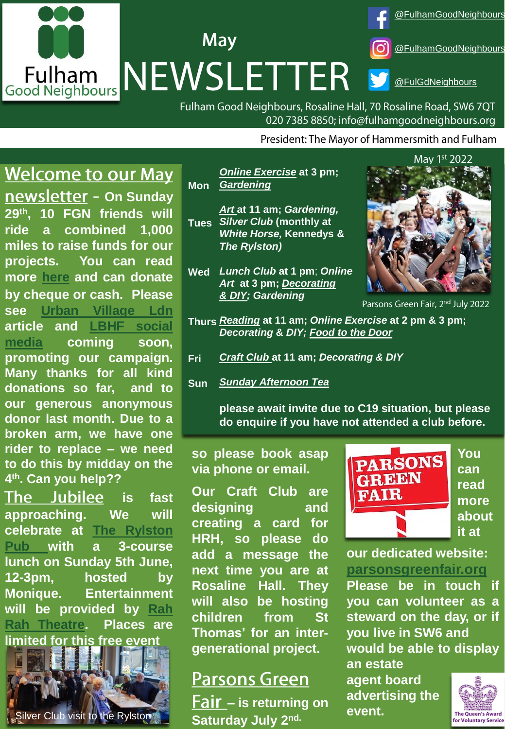# [@FulhamGoodNeighbours](https://www.facebook.com/FulhamGoodNeighbours/) **May** [@FulhamGoodNeighbours](https://www.instagram.com/fulhamgoodneighbours/) Fulham NEWSLETTER [@FulGdNeighbours](https://twitter.com/FulGdNeighbours)

Fulham Good Neighbours, Rosaline Hall, 70 Rosaline Road, SW6 7QT 020 7385 8850; info@fulhamgoodneighbours.org

President: The Mayor of Hammersmith and Fulham

#### **Welcome to our May**

**newsletter - On Sunday 29th, 10 FGN friends will ride a combined 1,000 miles to raise funds for our projects. You can read more [here](https://www.justgiving.com/campaign/1000milesfor55years) and can donate by cheque or cash. Please see Urban [Village](https://www.urbanvillageldn.com/whats-happening-may-2022) Ldn article and LBHF social media [coming](https://twitter.com/lbhf) soon, promoting our campaign. Many thanks for all kind donations so far, and to our generous anonymous donor last month. Due to a broken arm, we have one rider to replace – we need to do this by midday on the 4 th. Can you help??**

The Jubilee **is fast approaching. We will celebrate at The Rylston Pub with a [3-course](https://www.therylston.com/) lunch on Sunday 5th June, 12-3pm, hosted by Monique. Entertainment will be [provided](https://www.rahrahtheatre.com/) by Rah Rah Theatre. Places are limited for this free event**

Silver Club visit to the Rylston **Saturday, July 2nd.** 

**Mon** *[Online Exercise](https://www.fulhamgoodneighbours.org/our-services/we-support-online/we-support-online-chair-based-exercise)* **at 3 pm;**  *[Gardening](https://www.fulhamgoodneighbours.org/our-services/support-in-the-home-and-garden/support-in-the-home-and-garden-gardening)*

- **Tues** *Silver Club* **(monthly at**  *[Art](https://www.fulhamgoodneighbours.org/our-services/we-support-online/we-support-online-art-group)* **at 11 am;** *Gardening, White Horse,* **Kennedys &** *The Rylston)*
- **Wed** *Lunch Club* **at 1 pm**; *Online Art* **at 3 pm;** *[Decorating](https://www.fulhamgoodneighbours.org/our-services/support-in-the-home-and-garden/support-in-the-home-and-garden-decorating-and-diy) [& DIY;](https://www.fulhamgoodneighbours.org/our-services/support-in-the-home-and-garden/support-in-the-home-and-garden-decorating-and-diy) Gardening*



 $\frac{1}{1}$  and  $\frac{1}{1}$  and  $\frac{1}{1}$  and  $\frac{1}{1}$  and  $\frac{1}{1}$  amplitude  $\frac{1}{1}$ 

- **Decorating & DIY;** [Food to the Door](https://www.fulhamgoodneighbours.org/our-services/support-in-the-home-and-garden/support-in-the-home-and-garden-food-to-the-door) **Thurs** *[Reading](https://www.fulhamgoodneighbours.org/our-services/support-in-the-community/support-in-the-community-social-clubs)* **at 11 am;** *Online Exercise* **at 2 pm & 3 pm;**
- **Fri** *[Craft Club](https://www.fulhamgoodneighbours.org/event/craftclubfridayfree)* **at 11 am;** *Decorating & DIY*
- **Sun** *[Sunday Afternoon Tea](https://www.fulhamgoodneighbours.org/our-services/support-in-the-community/support-in-the-community-social-clubs)*

**please await invite due to C19 situation, but please do enquire if you have not attended a club before.** 

**so please book asap via phone or email.**

**Our Craft Club are designing and creating a card for HRH, so please do add a message the next time you are at Rosaline Hall. They will also be hosting children from St Thomas' for an intergenerational project.**

## **Parsons Green**

**– is returning on Saturday July 2**



**You can read more about it at**

#### **our dedicated website: [parsonsgreenfair.org](http://www.parsonsgreenfair.org/)**

**Please be in touch if you can volunteer as a steward on the day, or if you live in SW6 and would be able to display**

**an estate agent board advertising the event.** 

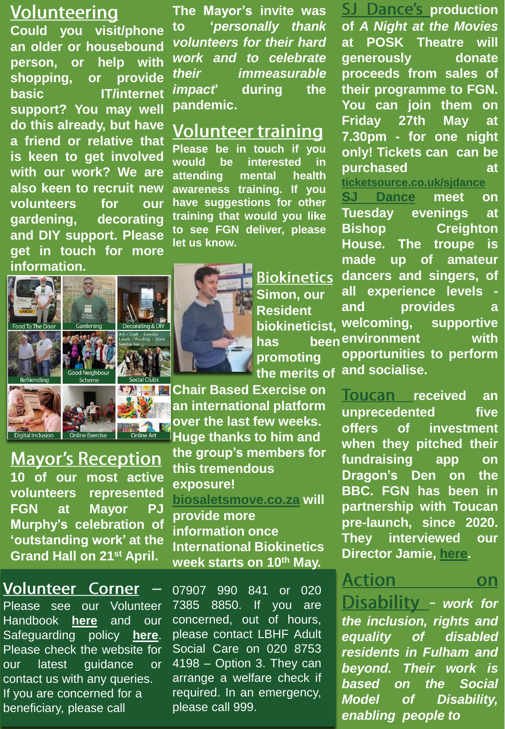#### **Volunteering**

**Could you visit/phone an older or housebound person, or help with shopping, or provide basic IT/internet support? You may well do this already, but have a friend or relative that is keen to get involved with our work? We are also keen to recruit new volunteers for our gardening, decorating and DIY support. Please get in touch for more information.**



#### **Mayor's Reception 10 of our most active**

**volunteers represented FGN at Mayor PJ Murphy's celebration of 'outstanding work' at the Grand Hall on 21st April.**

#### **Volunteer Corner**

Please see our Volunteer Handbook **[here](https://www.fulhamgoodneighbours.org/uploadedimages/fulhamgn/gallery/Volunteer%20Handbook%20v%2030th%20June%202020.pdf)** and our Safeguarding policy **[here](https://www.fulhamgoodneighbours.org/uploadedimages/fulhamgn/gallery/FGNS%20Adult%20Safeguarding%20Policy%20and%20Procedure%20v%2028th%20October%202020.pdf)**. Please check the website for our latest guidance or contact us with any queries. If you are concerned for a beneficiary, please call

**The Mayor's invite was to '***personally thank volunteers for their hard work and to celebrate their immeasurable impact***' during the pandemic.**

#### Volunteer training

**Please be in touch if you would be interested in attending mental health awareness training. If you have suggestions for other training that would you like to see FGN deliver, please let us know.**

> **Biokinetics Simon, our Resident biokineticist, promoting the merits of**

**Chair Based Exercise on an international platform over the last few weeks. Huge thanks to him and** 

**the group's members for this tremendous exposure! [biosaletsmove.co.za](http://www.biosaletsmove.co.za/) will provide more information once International Biokinetics week starts on 10th May.** 

07907 990 841 or 020 7385 8850. If you are concerned, out of hours, please contact LBHF Adult Social Care on 020 8753 4198 – Option 3. They can arrange a welfare check if required. In an emergency, please call 999.

**SJ** Dance's production **of** *A Night at the Movies* **at POSK Theatre will generously donate proceeds from sales of their programme to FGN. You can join them on Friday 27th May at 7.30pm - for one night only! Tickets can can be purchased at**

**[ticketsource.co.uk/sjdance](http://www.ticketsource.co.uk/sjdance) SJ [Dance](http://www.sj-dance.com/) meet on Tuesday evenings at Bishop Creighton House. The troupe is made up of amateur dancers and singers, of all experience levels and provides a welcoming, supportive environment with has been opportunities to perform and socialise.**

> **[r](https://thetoucan.app/blog/meet-the-charity-fulham-good-neighbours/)eceived an unprecedented five offers of investment when they pitched their fundraising app on Dragon's Den on the BBC. FGN has been in partnership with Toucan pre-launch, since 2020. They interviewed our Director Jamie, [here](https://thetoucan.app/blog/meet-the-charity-fulham-good-neighbours/).**

> Action on

**Disability - [work](http://www.aod.org.uk/) for** *the inclusion, rights and equality of disabled residents in Fulham and beyond. Their work is based on the Social Model of Disability, enabling people to*

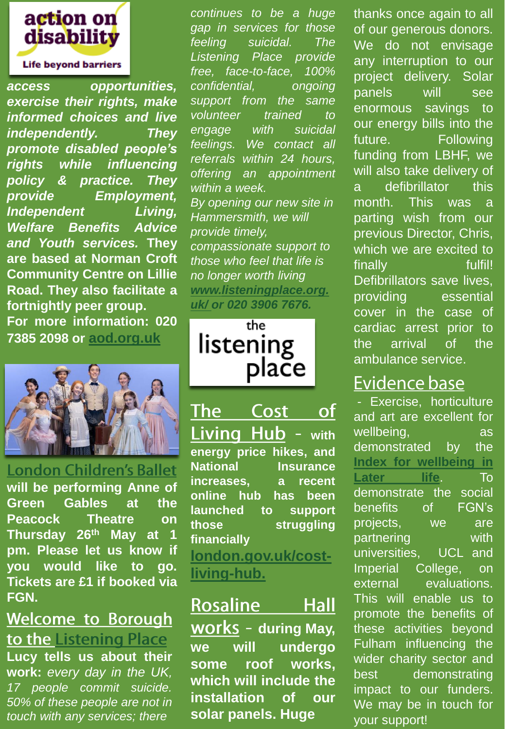

*access opportunities, exercise their rights, make informed choices and live independently. They promote disabled people's rights while influencing policy & practice. They provide Employment, Independent Living, Welfare Benefits Advice and Youth services.* **They are based at Norman Croft Community Centre on Lillie Road. They also facilitate a fortnightly peer group. For more information: 020 7385 2098 or <aod.org.uk>**



**London Children's Ballet will be performing Anne of Green Gables at the Peacock Theatre on Thursday 26th May at 1 pm. Please let us know if you would like to go. Tickets are £1 if booked via FGN.**

# **Welcome to Borough** to the Listening Place

**Lucy tells us about their work:** *every day in the UK, 17 people commit suicide. 50% of these people are not in touch with any services; there*

*continues to be a huge gap in services for those feeling suicidal. The Listening Place provide free, face-to-face, 100% confidential, ongoing support from the same volunteer trained to engage with suicidal feelings. We contact all referrals within 24 hours, offering an appointment within a week. By opening our new site in Hammersmith, we will provide timely, compassionate support to those who feel that life is no longer worth living [www.listeningplace.org.](http://www.listeningplace.org.uk/) uk/ or 020 3906 7676.*

the listening plače

 $\Omega$ The Cost Living Hub - with **energy price hikes, and National Insurance increases, a recent online hub has been launched to support those struggling financially [london.gov.uk/cost-](https://www.london.gov.uk/cost-living-hub)**

**living-hub.**

Rosaline Hall **works** - during May,

**we will undergo some roof works, which will include the installation of our solar panels. Huge**

thanks once again to all of our generous donors. We do not envisage any interruption to our project delivery. Solar panels will see enormous savings to our energy bills into the future. Following funding from LBHF, we will also take delivery of a defibrillator this month. This was a parting wish from our previous Director, Chris, which we are excited to finally fulfil! Defibrillators save lives, providing essential cover in the case of cardiac arrest prior to the arrival of the ambulance service.

## **Evidence base**

- Exercise, horticulture and art are excellent for wellbeing, as demonstrated by the **Index for [wellbeing](https://www.ageuk.org.uk/our-impact/policy-research/wellbeing-research/index-of-wellbeing/#:~:text=What%20is%20the%20Index%20of%20Wellbeing%3F%20The%20Index,resulting%20from%20the%20statistical%20analyses%20of%20the%20data.) in Later life**. To demonstrate the social benefits of FGN's projects, we are partnering with universities, UCL and Imperial College, on external evaluations. This will enable us to promote the benefits of these activities beyond Fulham influencing the wider charity sector and best demonstrating impact to our funders. We may be in touch for your support!